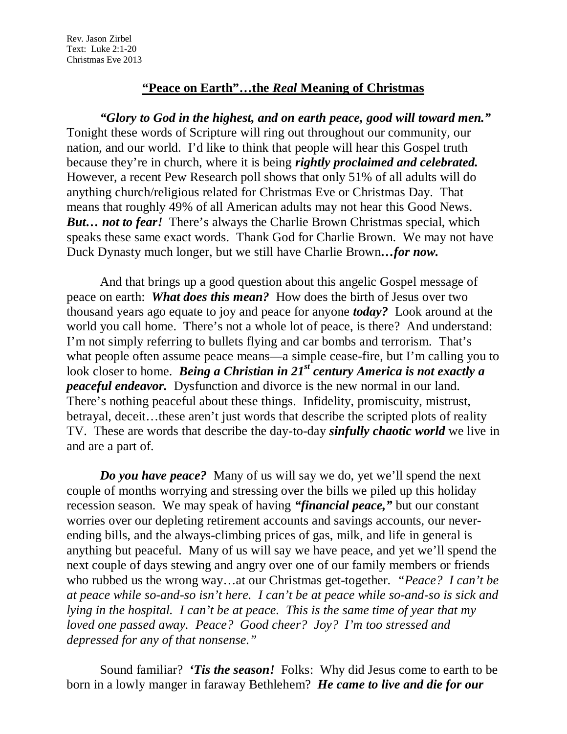## **"Peace on Earth"…the** *Real* **Meaning of Christmas**

*"Glory to God in the highest, and on earth peace, good will toward men."* Tonight these words of Scripture will ring out throughout our community, our nation, and our world. I'd like to think that people will hear this Gospel truth because they're in church, where it is being *rightly proclaimed and celebrated.* However, a recent Pew Research poll shows that only 51% of all adults will do anything church/religious related for Christmas Eve or Christmas Day. That means that roughly 49% of all American adults may not hear this Good News. *But… not to fear!* There's always the Charlie Brown Christmas special, which speaks these same exact words. Thank God for Charlie Brown. We may not have Duck Dynasty much longer, but we still have Charlie Brown*…for now.*

And that brings up a good question about this angelic Gospel message of peace on earth: *What does this mean?* How does the birth of Jesus over two thousand years ago equate to joy and peace for anyone *today?* Look around at the world you call home. There's not a whole lot of peace, is there? And understand: I'm not simply referring to bullets flying and car bombs and terrorism. That's what people often assume peace means—a simple cease-fire, but I'm calling you to look closer to home. *Being a Christian in 21<sup>st</sup> century America is not exactly a peaceful endeavor.* Dysfunction and divorce is the new normal in our land. There's nothing peaceful about these things. Infidelity, promiscuity, mistrust, betrayal, deceit…these aren't just words that describe the scripted plots of reality TV. These are words that describe the day-to-day *sinfully chaotic world* we live in and are a part of.

*Do you have peace?* Many of us will say we do, yet we'll spend the next couple of months worrying and stressing over the bills we piled up this holiday recession season. We may speak of having *"financial peace,"* but our constant worries over our depleting retirement accounts and savings accounts, our neverending bills, and the always-climbing prices of gas, milk, and life in general is anything but peaceful. Many of us will say we have peace, and yet we'll spend the next couple of days stewing and angry over one of our family members or friends who rubbed us the wrong way…at our Christmas get-together. *"Peace? I can't be at peace while so-and-so isn't here. I can't be at peace while so-and-so is sick and lying in the hospital. I can't be at peace. This is the same time of year that my loved one passed away. Peace? Good cheer? Joy? I'm too stressed and depressed for any of that nonsense."*

Sound familiar? *'Tis the season!* Folks: Why did Jesus come to earth to be born in a lowly manger in faraway Bethlehem? *He came to live and die for our*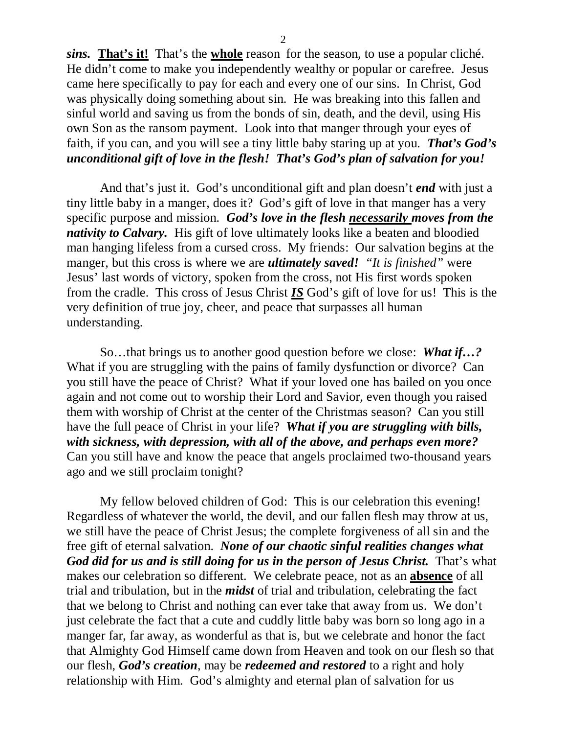*sins.* **That's it!** That's the **whole** reason for the season, to use a popular cliché. He didn't come to make you independently wealthy or popular or carefree. Jesus came here specifically to pay for each and every one of our sins. In Christ, God was physically doing something about sin. He was breaking into this fallen and sinful world and saving us from the bonds of sin, death, and the devil, using His own Son as the ransom payment. Look into that manger through your eyes of faith, if you can, and you will see a tiny little baby staring up at you. *That's God's unconditional gift of love in the flesh! That's God's plan of salvation for you!* 

And that's just it. God's unconditional gift and plan doesn't *end* with just a tiny little baby in a manger, does it? God's gift of love in that manger has a very specific purpose and mission. *God's love in the flesh necessarily moves from the nativity to Calvary.* His gift of love ultimately looks like a beaten and bloodied man hanging lifeless from a cursed cross. My friends: Our salvation begins at the manger, but this cross is where we are *ultimately saved! "It is finished"* were Jesus' last words of victory, spoken from the cross, not His first words spoken from the cradle. This cross of Jesus Christ *IS* God's gift of love for us! This is the very definition of true joy, cheer, and peace that surpasses all human understanding.

So…that brings us to another good question before we close: *What if…?* What if you are struggling with the pains of family dysfunction or divorce? Can you still have the peace of Christ? What if your loved one has bailed on you once again and not come out to worship their Lord and Savior, even though you raised them with worship of Christ at the center of the Christmas season? Can you still have the full peace of Christ in your life? *What if you are struggling with bills, with sickness, with depression, with all of the above, and perhaps even more?*  Can you still have and know the peace that angels proclaimed two-thousand years ago and we still proclaim tonight?

My fellow beloved children of God: This is our celebration this evening! Regardless of whatever the world, the devil, and our fallen flesh may throw at us, we still have the peace of Christ Jesus; the complete forgiveness of all sin and the free gift of eternal salvation. *None of our chaotic sinful realities changes what God did for us and is still doing for us in the person of Jesus Christ.* That's what makes our celebration so different. We celebrate peace, not as an **absence** of all trial and tribulation, but in the *midst* of trial and tribulation, celebrating the fact that we belong to Christ and nothing can ever take that away from us. We don't just celebrate the fact that a cute and cuddly little baby was born so long ago in a manger far, far away, as wonderful as that is, but we celebrate and honor the fact that Almighty God Himself came down from Heaven and took on our flesh so that our flesh, *God's creation*, may be *redeemed and restored* to a right and holy relationship with Him. God's almighty and eternal plan of salvation for us